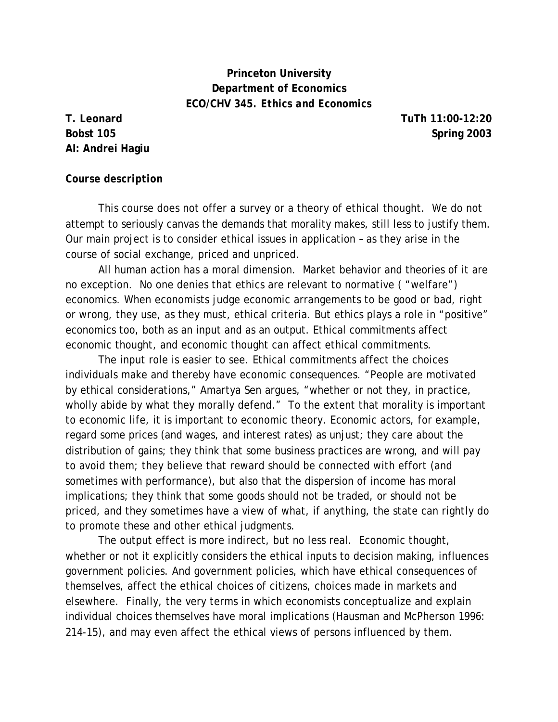# **Princeton University Department of Economics ECO/CHV 345.** *Ethics and Economics*

**AI: Andrei Hagiu** 

**T. Leonard TuTh 11:00-12:20 Bobst 105** Spring 2003

#### *Course description*

This course does not offer a survey or a theory of ethical thought. We do not attempt to seriously canvas the demands that morality makes, still less to justify them. Our main project is to consider ethical issues in application – as they arise in the course of social exchange, priced and unpriced.

All human action has a moral dimension. Market behavior and theories of it are no exception. No one denies that ethics are relevant to normative ( "welfare") economics. When economists judge economic arrangements to be good or bad, right or wrong, they use, as they must, ethical criteria. But ethics plays a role in "positive" economics too, both as an input and as an output. Ethical commitments affect economic thought, and economic thought can affect ethical commitments.

The input role is easier to see. Ethical commitments affect the choices individuals make and thereby have economic consequences. "People are motivated by ethical considerations," Amartya Sen argues, "whether or not they, in practice, wholly abide by what they morally defend." To the extent that morality is important to economic life, it is important to economic theory. Economic actors, for example, regard some prices (and wages, and interest rates) as unjust; they care about the distribution of gains; they think that some business practices are wrong, and will pay to avoid them; they believe that reward should be connected with effort (and sometimes with performance), but also that the dispersion of income has moral implications; they think that some goods should not be traded, or should not be priced, and they sometimes have a view of what, if anything, the state can rightly do to promote these and other ethical judgments.

The output effect is more indirect, but no less real. Economic thought, whether or not it explicitly considers the ethical inputs to decision making, influences government policies. And government policies, which have ethical consequences of themselves, affect the ethical choices of citizens, choices made in markets and elsewhere. Finally, the very terms in which economists conceptualize and explain individual choices themselves have moral implications (Hausman and McPherson 1996: 214-15), and may even affect the ethical views of persons influenced by them.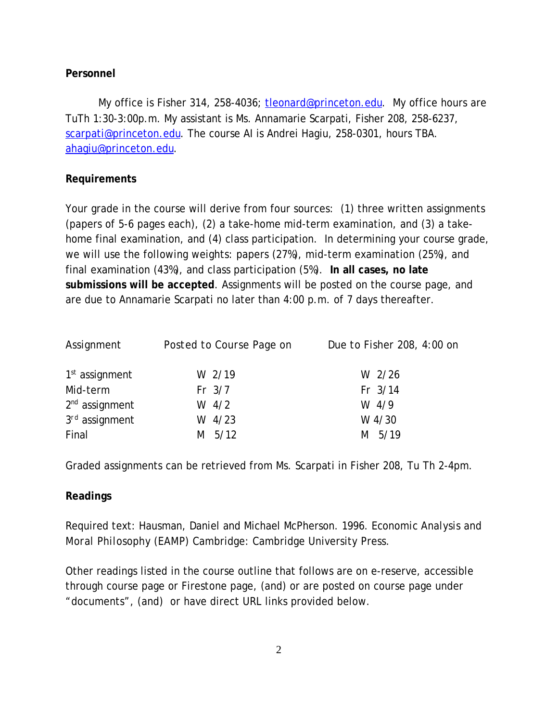## **Personnel**

My office is Fisher 314, 258-4036; tleonard@princeton.edu. My office hours are TuTh 1:30-3:00p.m. My assistant is Ms. Annamarie Scarpati, Fisher 208, 258-6237, scarpati@princeton.edu. The course AI is Andrei Hagiu, 258-0301, hours TBA. ahagiu@princeton.edu.

## **Requirements**

Your grade in the course will derive from four sources: (1) three written assignments (papers of 5-6 pages each), (2) a take-home mid-term examination, and (3) a takehome final examination, and (4) class participation. In determining your course grade, we will use the following weights: papers (27%), mid-term examination (25%), and final examination (43%), and class participation (5%). **In all cases, no late submissions will be accepted**. Assignments will be posted on the course page, and are due to Annamarie Scarpati no later than 4:00 p.m. of 7 days thereafter.

| Assignment                 | Posted to Course Page on | Due to Fisher 208, 4:00 on |
|----------------------------|--------------------------|----------------------------|
| 1 <sup>st</sup> assignment | W 2/19                   | W 2/26                     |
| Mid-term                   | $Fr$ 3/7                 | Fr 3/14                    |
| $2nd$ assignment           | W $4/2$                  | W $4/9$                    |
| $3rd$ assignment           | $W$ 4/23                 | W 4/30                     |
| Final                      | 5/12<br>M                | M 5/19                     |

Graded assignments can be retrieved from Ms. Scarpati in Fisher 208, Tu Th 2-4pm.

## **Readings**

Required text: Hausman, Daniel and Michael McPherson. 1996. *Economic Analysis and Moral Philosophy (EAMP)* Cambridge: Cambridge University Press.

Other readings listed in the course outline that follows are on e-reserve, accessible through course page or Firestone page, (and) or are posted on course page under "documents", (and) or have direct URL links provided below.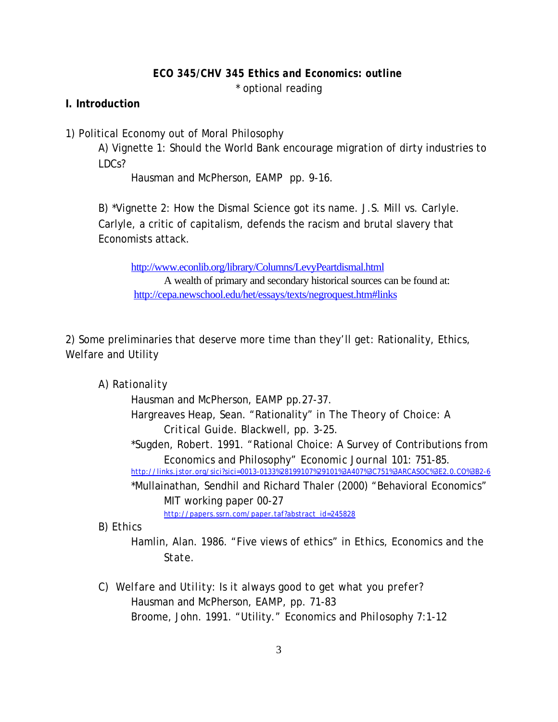#### *ECO 345/CHV 345 Ethics and Economics: outline*

\* optional reading

#### **I. Introduction**

1) Political Economy out of Moral Philosophy

A) Vignette 1: Should the World Bank encourage migration of dirty industries to LDCs?

Hausman and McPherson, *EAMP* pp. 9-16.

B) \*Vignette 2: How the Dismal Science got its name. J.S. Mill vs. Carlyle. Carlyle, a critic of capitalism, defends the racism and brutal slavery that Economists attack.

http://www.econlib.org/library/Columns/LevyPeartdismal.html

A wealth of primary and secondary historical sources can be found at: http://cepa.newschool.edu/het/essays/texts/negroquest.htm#links

2) Some preliminaries that deserve more time than they'll get: Rationality, Ethics, Welfare and Utility

*A) Rationality* 

Hausman and McPherson, *EAMP* pp.27-37.

- Hargreaves Heap, Sean. "Rationality" in *The Theory of Choice: A Critical Guide*. Blackwell, pp. 3-25.
- \*Sugden, Robert. 1991. "Rational Choice: A Survey of Contributions from Economics and Philosophy" *Economic Journal* 101: 751-85.

http://links.jstor.org/sici?sici=0013-0133%28199107%29101%3A407%3C751%3ARCASOC%3E2.0.CO%3B2-6

\*Mullainathan, Sendhil and Richard Thaler (2000) "Behavioral Economics" MIT working paper 00-27

http://papers.ssrn.com/paper.taf?abstract\_id=245828

*B) Ethics*

Hamlin, Alan. 1986. "Five views of ethics" in *Ethics, Economics and the State.*

*C) Welfare and Utility: Is it always good to get what you prefer?* Hausman and McPherson, *EAMP,* pp. 71-83 Broome, John. 1991. "Utility." *Economics and Philosophy* 7:1-12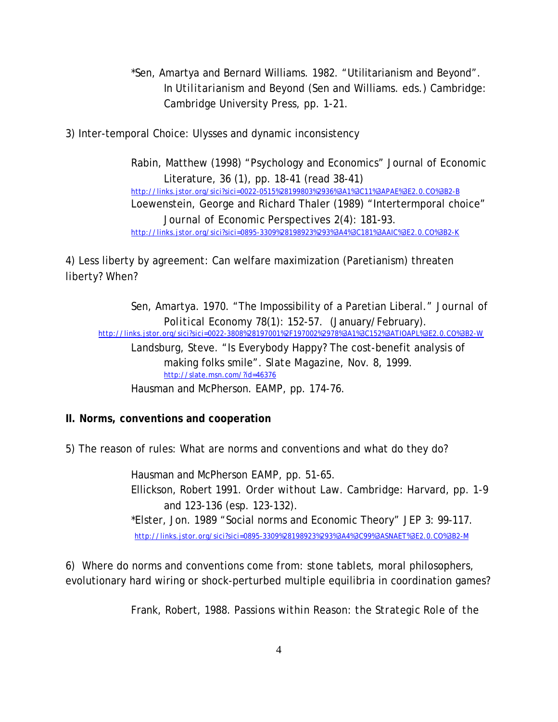- \*Sen, Amartya and Bernard Williams. 1982. "Utilitarianism and Beyond". In *Utilitarianism and Beyond (*Sen and Williams. eds.) Cambridge: Cambridge University Press, pp. 1-21.
- 3) Inter-temporal Choice: Ulysses and dynamic inconsistency

Rabin, Matthew (1998) "Psychology and Economics" Journal of Economic Literature, 36 (1), pp. 18-41 (read 38-41) http://links.jstor.org/sici?sici=0022-0515%28199803%2936%3A1%3C11%3APAE%3E2.0.CO%3B2-B Loewenstein, George and Richard Thaler (1989) "Intertermporal choice" *Journal of Economic Perspectives* 2(4): 181-93. http://links.jstor.org/sici?sici=0895-3309%28198923%293%3A4%3C181%3AAIC%3E2.0.CO%3B2-K

4) Less liberty by agreement: Can welfare maximization (Paretianism) threaten liberty? When?

Sen, Amartya. 1970. "The Impossibility of a Paretian Liberal." *Journal of Political Economy* 78(1): 152-57. (January/February). http://links.jstor.org/sici?sici=0022-3808%28197001%2F197002%2978%3A1%3C152%3ATIOAPL%3E2.0.CO%3B2-W Landsburg, Steve. "Is Everybody Happy? The cost-benefit analysis of making folks smile". *Slate Magazine,* Nov. 8, 1999. http://slate.msn.com/?id=46376

Hausman and McPherson. *EAMP*, pp. 174-76.

### **II. Norms, conventions and cooperation**

5) The reason of rules: What are norms and conventions and what do they do?

Hausman and McPherson *EAMP*, pp. 51-65. Ellickson, Robert 1991. *Order without Law.* Cambridge: Harvard, pp. 1-9 and 123-136 (esp. 123-132). \*Elster, Jon. 1989 "Social norms and Economic Theory" *JEP* 3: 99-117. http://links.jstor.org/sici?sici=0895-3309%28198923%293%3A4%3C99%3ASNAET%3E2.0.CO%3B2-M

6) Where do norms and conventions come from: stone tablets, moral philosophers, evolutionary hard wiring or shock-perturbed multiple equilibria in coordination games?

Frank, Robert, 1988. *Passions within Reason: the Strategic Role of the*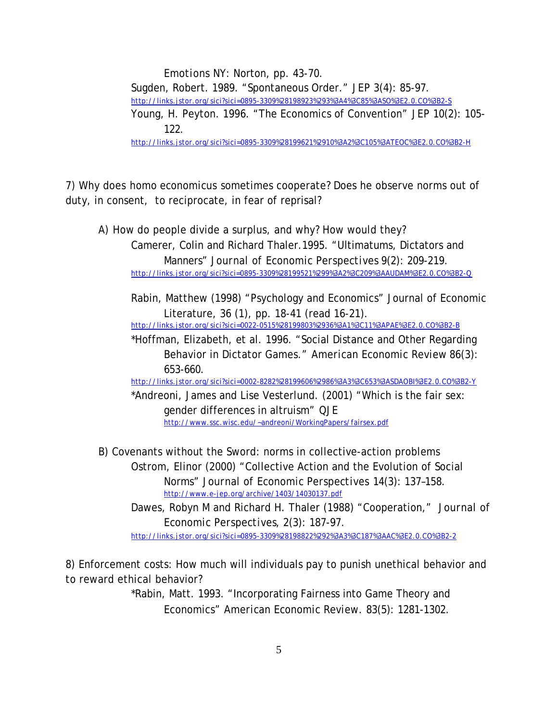*Emotions* NY: Norton, pp. 43-70. Sugden, Robert. 1989. "Spontaneous Order." *JEP* 3(4): 85-97. http://links.jstor.org/sici?sici=0895-3309%28198923%293%3A4%3C85%3ASO%3E2.0.CO%3B2-S Young, H. Peyton. 1996. "The Economics of Convention" *JEP* 10(2): 105- 122. http://links.jstor.org/sici?sici=0895-3309%28199621%2910%3A2%3C105%3ATEOC%3E2.0.CO%3B2-H

7) Why does *homo economicus* sometimes cooperate? Does he observe norms out of duty, in consent, to reciprocate, in fear of reprisal?

A) How *do* people divide a surplus, and why? How would they? Camerer, Colin and Richard Thaler.1995. "Ultimatums, Dictators and Manners" *Journal of Economic Perspectives* 9(2): 209-219. http://links.jstor.org/sici?sici=0895-3309%28199521%299%3A2%3C209%3AAUDAM%3E2.0.CO%3B2-Q

 Rabin, Matthew (1998) "Psychology and Economics" Journal of Economic Literature, 36 (1), pp. 18-41 (read 16-21). http://links.jstor.org/sici?sici=0022-0515%28199803%2936%3A1%3C11%3APAE%3E2.0.CO%3B2-B

\*Hoffman, Elizabeth, et al. 1996. "Social Distance and Other Regarding Behavior in Dictator Games." *American Economic Review* 86(3): 653-660.

http://links.jstor.org/sici?sici=0002-8282%28199606%2986%3A3%3C653%3ASDAOBI%3E2.0.CO%3B2-Y

\*Andreoni, James and Lise Vesterlund. (2001) "Which is the fair sex: gender differences in altruism" *QJE*  http://www.ssc.wisc.edu/~andreoni/WorkingPapers/fairsex.pdf

B) Covenants without the Sword: norms in collective-action problems Ostrom, Elinor (2000) "Collective Action and the Evolution of Social Norms" *Journal of Economic Perspectives* 14(3): 137–158. http://www.e-jep.org/archive/1403/14030137.pdf

Dawes, Robyn M and Richard H. Thaler (1988) "Cooperation," *Journal of Economic Perspectives*, 2(3): 187-97. http://links.jstor.org/sici?sici=0895-3309%28198822%292%3A3%3C187%3AAC%3E2.0.CO%3B2-2

8) Enforcement costs: How much will individuals pay to punish unethical behavior and to reward ethical behavior?

> \*Rabin, Matt. 1993. "Incorporating Fairness into Game Theory and Economics" *American Economic Review.* 83(5): 1281-1302.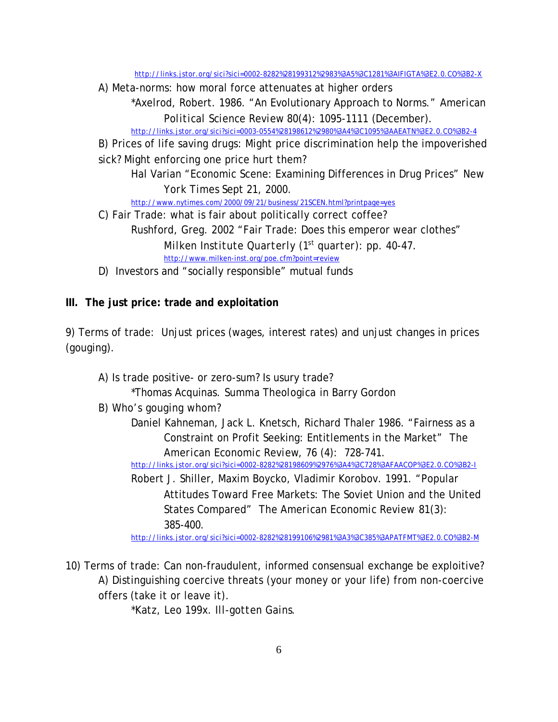http://links.jstor.org/sici?sici=0002-8282%28199312%2983%3A5%3C1281%3AIFIGTA%3E2.0.CO%3B2-X

A) Meta-norms: how moral force attenuates at higher orders

\*Axelrod, Robert. 1986. "An Evolutionary Approach to Norms." *American Political Science Review* 80(4): 1095-1111 (December).

http://links.jstor.org/sici?sici=0003-0554%28198612%2980%3A4%3C1095%3AAEATN%3E2.0.CO%3B2-4

B) Prices of life saving drugs: Might price discrimination help the impoverished sick? Might enforcing one price hurt them?

Hal Varian "Economic Scene: Examining Differences in Drug Prices" *New York Times* Sept 21, 2000.

http://www.nytimes.com/2000/09/21/business/21SCEN.html?printpage=yes

C) Fair Trade: what is fair about politically correct coffee? Rushford, Greg. 2002 "Fair Trade: Does this emperor wear clothes" *Milken Institute Quarterly (1st quarter): pp. 40-47.* http://www.milken-inst.org/poe.cfm?point=review

D) Investors and "socially responsible" mutual funds

## **III. The just price: trade and exploitation**

9) Terms of trade: Unjust prices (wages, interest rates) and unjust changes in prices (gouging).

- A) Is trade positive- or zero-sum? Is usury trade?
	- \*Thomas Acquinas. *Summa Theologica* in Barry Gordon
- B) Who's gouging whom?
	- Daniel Kahneman, Jack L. Knetsch, Richard Thaler 1986. "Fairness as a Constraint on Profit Seeking: Entitlements in the Market" *The American Economic Review*, 76 (4): 728-741.

http://links.jstor.org/sici?sici=0002-8282%28198609%2976%3A4%3C728%3AFAACOP%3E2.0.CO%3B2-I

Robert J. Shiller, Maxim Boycko, Vladimir Korobov. 1991. "Popular Attitudes Toward Free Markets: The Soviet Union and the United States Compared" *The American Economic Review* 81(3): 385-400.

http://links.jstor.org/sici?sici=0002-8282%28199106%2981%3A3%3C385%3APATFMT%3E2.0.CO%3B2-M

10) Terms of trade: Can non-fraudulent, informed consensual exchange be exploitive? A) Distinguishing coercive threats (your money or your life) from non-coercive offers (take it or leave it).

\*Katz, Leo *199x. Ill-gotten Gains*.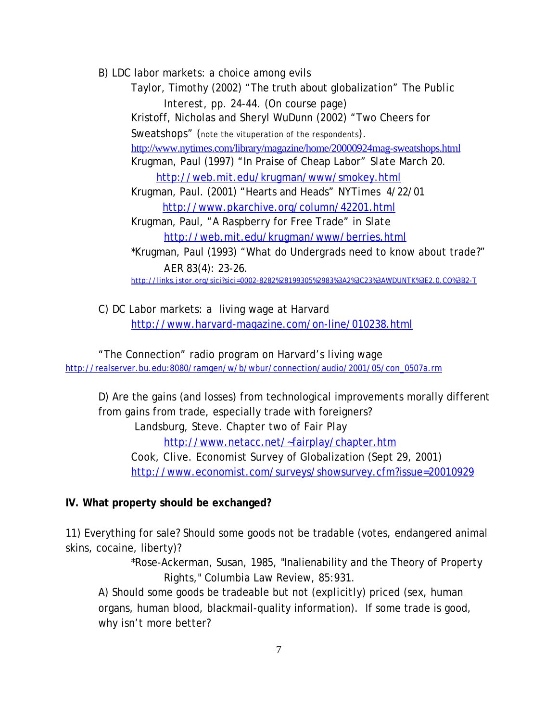B) LDC labor markets: a choice among evils

Taylor, Timothy (2002) "The truth about globalization" *The Public Interest,* pp. 24-44. (On course page) Kristoff, Nicholas and Sheryl WuDunn (2002) "Two Cheers for Sweatshops" (note the vituperation of the respondents). http://www.nytimes.com/library/magazine/home/20000924mag-sweatshops.html Krugman, Paul (1997) "In Praise of Cheap Labor" *Slate* March 20. http://web.mit.edu/krugman/www/smokey.html Krugman, Paul. (2001) "Hearts and Heads" *NYTimes* 4/22/01 http://www.pkarchive.org/column/42201.html Krugman, Paul, "A Raspberry for Free Trade" in *Slate* http://web.mit.edu/krugman/www/berries.html \*Krugman, Paul (1993) "What do Undergrads need to know about trade?" *AER* 83(4): 23-26. http://links.jstor.org/sici?sici=0002-8282%28199305%2983%3A2%3C23%3AWDUNTK%3E2.0.CO%3B2-T

C) DC Labor markets: a living wage at Harvard http://www.harvard-magazine.com/on-line/010238.html

"The Connection" radio program on Harvard's living wage http://realserver.bu.edu:8080/ramgen/w/b/wbur/connection/audio/2001/05/con\_0507a.rm

D) Are the gains (and losses) from technological improvements morally different from gains from trade, especially trade with foreigners? Landsburg, Steve. Chapter two of *Fair Play*  http://www.netacc.net/~fairplay/chapter.htm Cook, Clive. *Economist Survey* of Globalization (Sept 29, 2001) http://www.economist.com/surveys/showsurvey.cfm?issue=20010929

### **IV. What property should be exchanged?**

11) Everything for sale? Should some goods not be tradable (votes, endangered animal skins, cocaine, liberty)?

> \*Rose-Ackerman, Susan, 1985, "Inalienability and the Theory of Property Rights," Columbia Law Review, 85:931.

A) Should some goods be tradeable but not (*explicitly*) priced (sex, human organs, human blood, blackmail-quality information). If some trade is good, why isn't more better?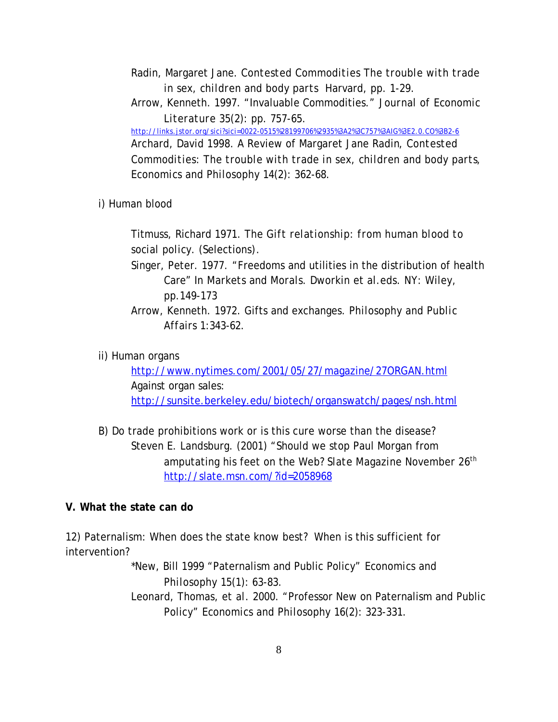- Radin, Margaret Jane. *Contested Commodities The trouble with trade in sex, children and body parts* Harvard, pp. 1-29.
- Arrow, Kenneth. 1997. "Invaluable Commodities." *Journal of Economic Literature* 35(2): pp. 757-65.

http://links.jstor.org/sici?sici=0022-0515%28199706%2935%3A2%3C757%3AIG%3E2.0.CO%3B2-6 Archard, David 1998. A Review of Margaret Jane Radin*, Contested Commodities: The trouble with trade in sex, children and body parts*, *Economics and Philosophy* 14(2): 362-68.

i) Human blood

Titmuss, Richard 1971. *The Gift relationship: from human blood to social policy.* (Selections)*.*

- Singer, Peter. 1977. "Freedoms and utilities in the distribution of health Care" In *Markets and Morals.* Dworkin et al.eds. NY: Wiley, pp.149-173
- Arrow, Kenneth. 1972. Gifts and exchanges. *Philosophy and Public Affairs* 1:343-62.
- ii) Human organs

http://www.nytimes.com/2001/05/27/magazine/27ORGAN.html Against organ sales: http://sunsite.berkeley.edu/biotech/organswatch/pages/nsh.html

B) Do trade prohibitions work or is this cure worse than the disease? Steven E. Landsburg. (2001) "Should we stop Paul Morgan from amputating his feet on the Web? *Slate Magazine* November 26th http://slate.msn.com/?id=2058968

## **V. What the state can do**

12) Paternalism: When does the state know best? When is this sufficient for intervention?

> \*New, Bill 1999 "Paternalism and Public Policy" *Economics and Philosophy* 15(1): 63-83.

Leonard, Thomas, *et al.* 2000. "Professor New on Paternalism and Public Policy" *Economics and Philosophy* 16(2): 323-331.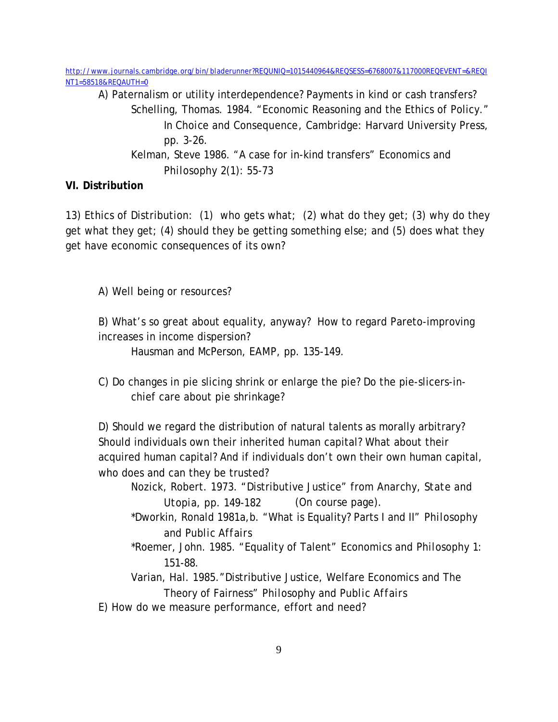http://www.journals.cambridge.org/bin/bladerunner?REQUNIQ=1015440964&REQSESS=6768007&117000REQEVENT=&REQI NT1=58518&REQAUTH=0

A) Paternalism or utility interdependence? Payments in kind or cash transfers? Schelling, Thomas. 1984. "Economic Reasoning and the Ethics of Policy." In *Choice and Consequence*, Cambridge: Harvard University Press, pp. 3-26. Kelman, Steve 1986. "A case for in-kind transfers" *Economics and*

*Philosophy* 2(1): 55-73

# **VI. Distribution**

13) Ethics of Distribution: (1) who gets what; (2) what do they get; (3) why do they get what they get; (4) should they be getting something else; and (5) does what they get have economic consequences of its own?

A) Well being or resources?

B) What's so great about equality, anyway? How to regard Pareto-improving increases in income dispersion?

Hausman and McPerson, *EAMP*, pp. 135-149.

C) Do changes in pie slicing shrink or enlarge the pie? Do the pie-slicers-inchief care about pie shrinkage?

D) Should we regard the distribution of natural talents as morally arbitrary? Should individuals own their inherited human capital? What about their acquired human capital? And if individuals don't own their own human capital, who does and can they be trusted?

Nozick, Robert. 1973. "Distributive Justice" from *Anarchy, State and Utopia,* pp*. 149-182* (On course page).

\*Dworkin, Ronald 1981a,b. "What is Equality? Parts I and II" *Philosophy and Public Affairs*

- \*Roemer, John. 1985. "Equality of Talent" *Economics and Philosophy* 1: 151-88.
- Varian, Hal. 1985."Distributive Justice, Welfare Economics and The Theory of Fairness" *Philosophy and Public Affairs*
- E) How do we measure performance, effort and need?